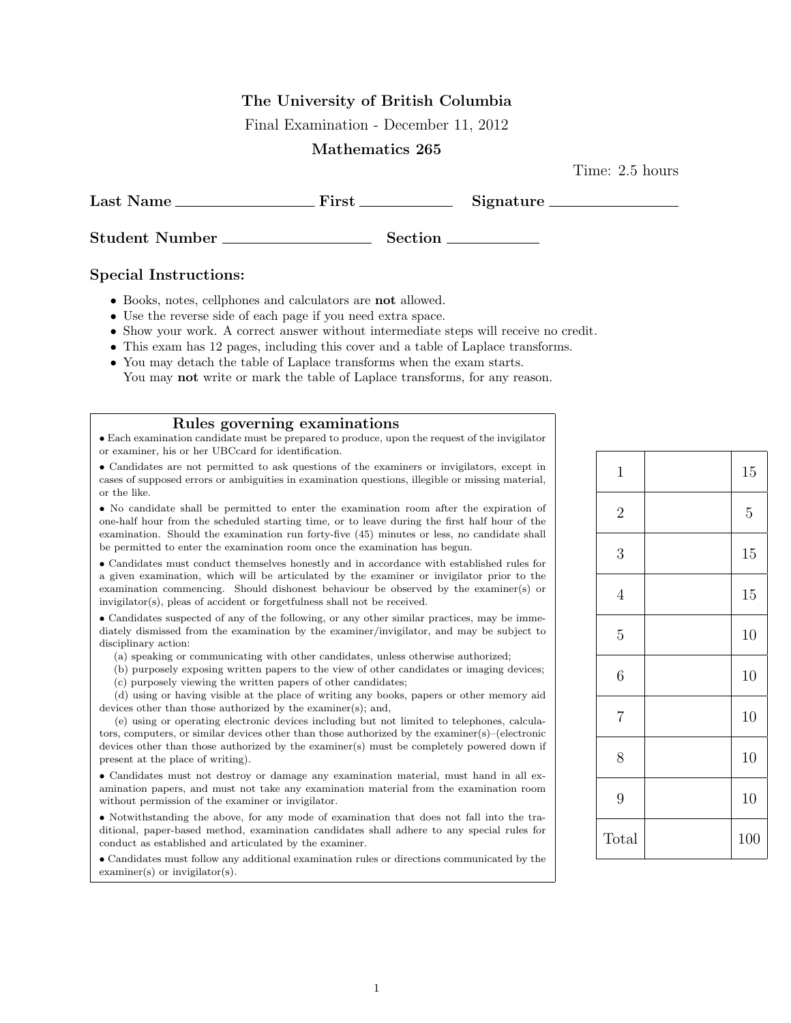### The University of British Columbia

Final Examination - December 11, 2012

#### Mathematics 265

Time: 2.5 hours

| Last Name                                                             | $First_$ |         | Signature |
|-----------------------------------------------------------------------|----------|---------|-----------|
| <b>Student Number</b>                                                 |          | Section |           |
| $\sim$<br>$\bullet$ $\bullet$ $\bullet$ $\bullet$ $\bullet$ $\bullet$ |          |         |           |

#### Special Instructions:

- Books, notes, cellphones and calculators are not allowed.
- Use the reverse side of each page if you need extra space.
- Show your work. A correct answer without intermediate steps will receive no credit.
- This exam has 12 pages, including this cover and a table of Laplace transforms.
- You may detach the table of Laplace transforms when the exam starts. You may **not** write or mark the table of Laplace transforms, for any reason.

#### Rules governing examinations

• Each examination candidate must be prepared to produce, upon the request of the invigilator or examiner, his or her UBCcard for identification.

• Candidates are not permitted to ask questions of the examiners or invigilators, except in cases of supposed errors or ambiguities in examination questions, illegible or missing material, or the like.

• No candidate shall be permitted to enter the examination room after the expiration of one-half hour from the scheduled starting time, or to leave during the first half hour of the examination. Should the examination run forty-five (45) minutes or less, no candidate shall be permitted to enter the examination room once the examination has begun.

• Candidates must conduct themselves honestly and in accordance with established rules for a given examination, which will be articulated by the examiner or invigilator prior to the examination commencing. Should dishonest behaviour be observed by the examiner(s) or invigilator(s), pleas of accident or forgetfulness shall not be received.

• Candidates suspected of any of the following, or any other similar practices, may be immediately dismissed from the examination by the examiner/invigilator, and may be subject to disciplinary action:

(a) speaking or communicating with other candidates, unless otherwise authorized;

(b) purposely exposing written papers to the view of other candidates or imaging devices; (c) purposely viewing the written papers of other candidates;

(d) using or having visible at the place of writing any books, papers or other memory aid devices other than those authorized by the examiner(s); and,

(e) using or operating electronic devices including but not limited to telephones, calculators, computers, or similar devices other than those authorized by the examiner(s)–(electronic devices other than those authorized by the examiner(s) must be completely powered down if present at the place of writing).

• Candidates must not destroy or damage any examination material, must hand in all examination papers, and must not take any examination material from the examination room without permission of the examiner or invigilator.

• Notwithstanding the above, for any mode of examination that does not fall into the traditional, paper-based method, examination candidates shall adhere to any special rules for conduct as established and articulated by the examiner.

• Candidates must follow any additional examination rules or directions communicated by the examiner(s) or invigilator(s).

| $\mathbf{1}$     | 15             |
|------------------|----------------|
| $\overline{2}$   | $\overline{5}$ |
| 3                | 15             |
| $\overline{4}$   | 15             |
| $\mathbf 5$      | 10             |
| $\boldsymbol{6}$ | 10             |
| $\overline{7}$   | 10             |
| 8                | 10             |
| 9                | 10             |
| Total            | 100            |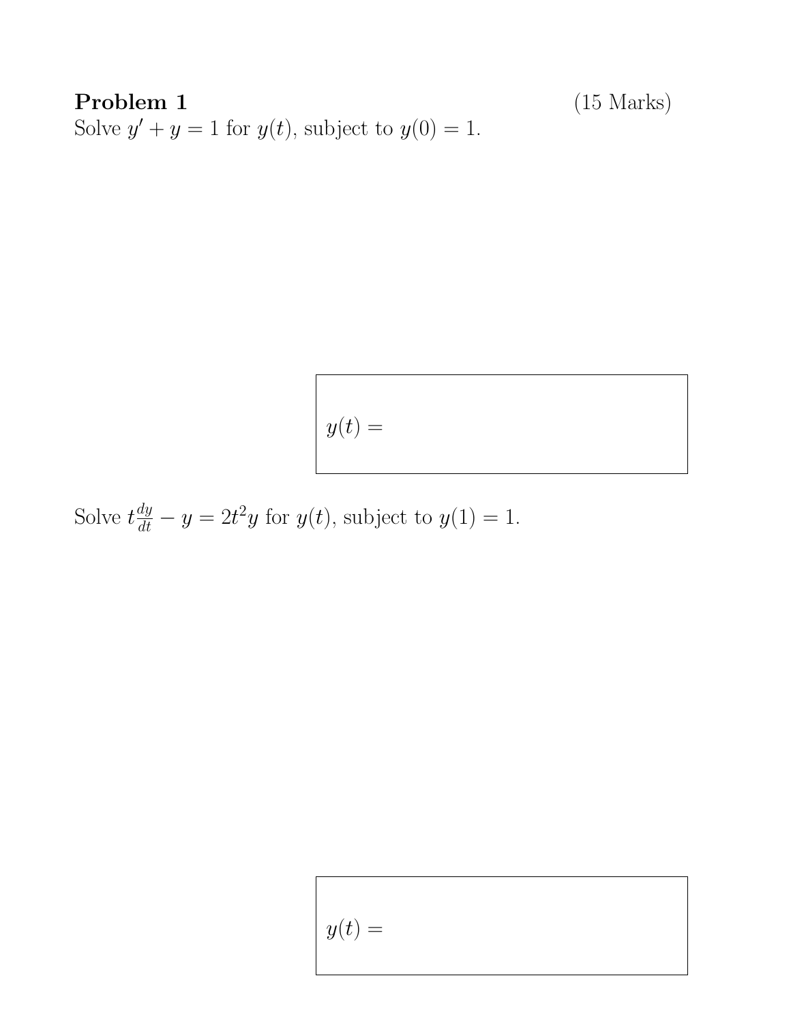Problem 1 (15 Marks) Solve  $y' + y = 1$  for  $y(t)$ , subject to  $y(0) = 1$ .

$$
y(t) =
$$

Solve  $t\frac{dy}{dt} - y = 2t^2y$  for  $y(t)$ , subject to  $y(1) = 1$ .

$$
y(t) =
$$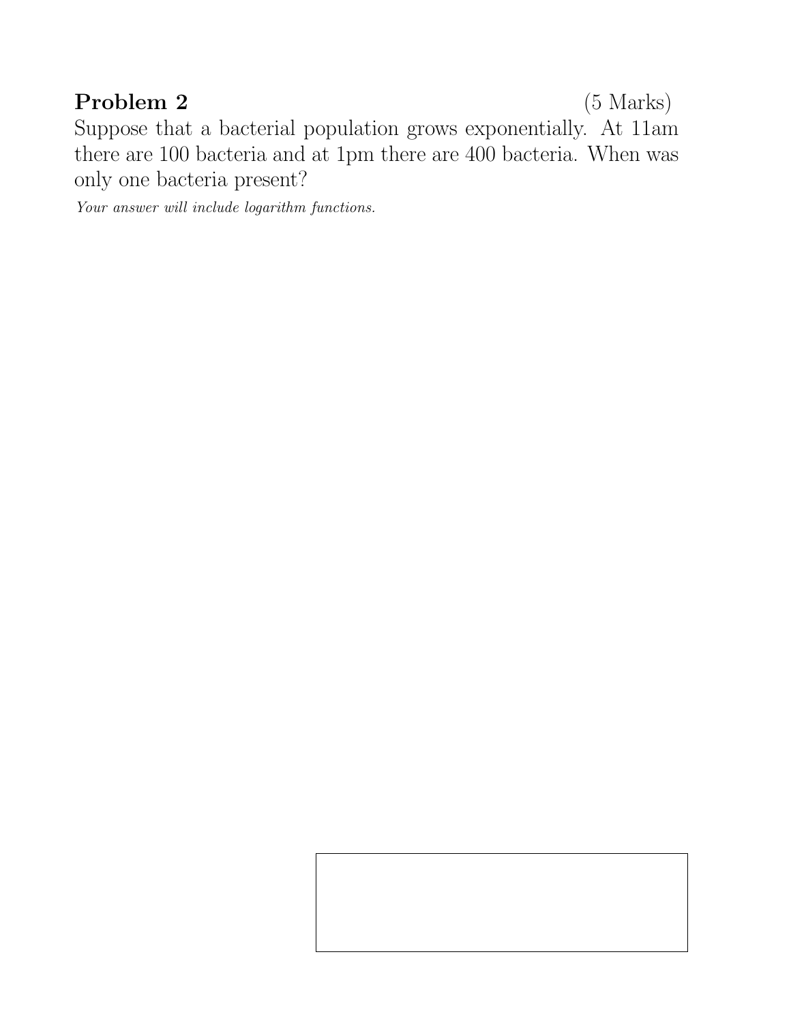### Problem 2 (5 Marks)

Suppose that a bacterial population grows exponentially. At 11am there are 100 bacteria and at 1pm there are 400 bacteria. When was only one bacteria present?

Your answer will include logarithm functions.

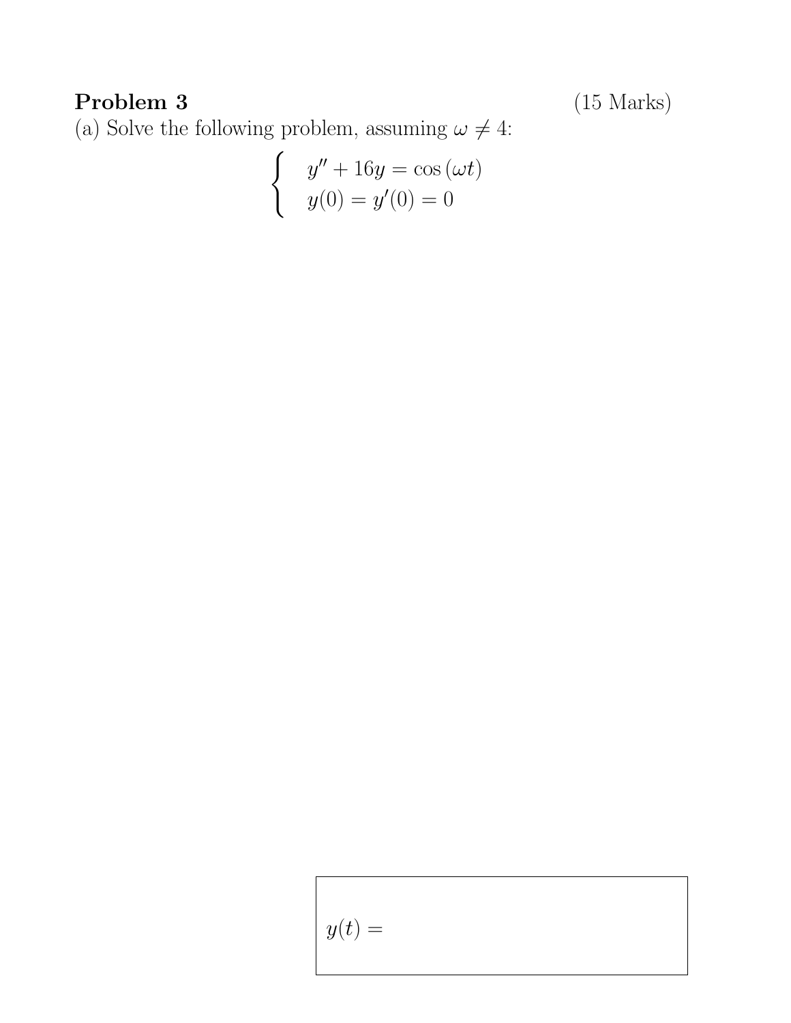Problem 3 (15 Marks)

(a) Solve the following problem, assuming  $\omega \neq 4:$ 

$$
\begin{cases}\n y'' + 16y = \cos(\omega t) \\
y(0) = y'(0) = 0\n\end{cases}
$$

$$
y(t) =
$$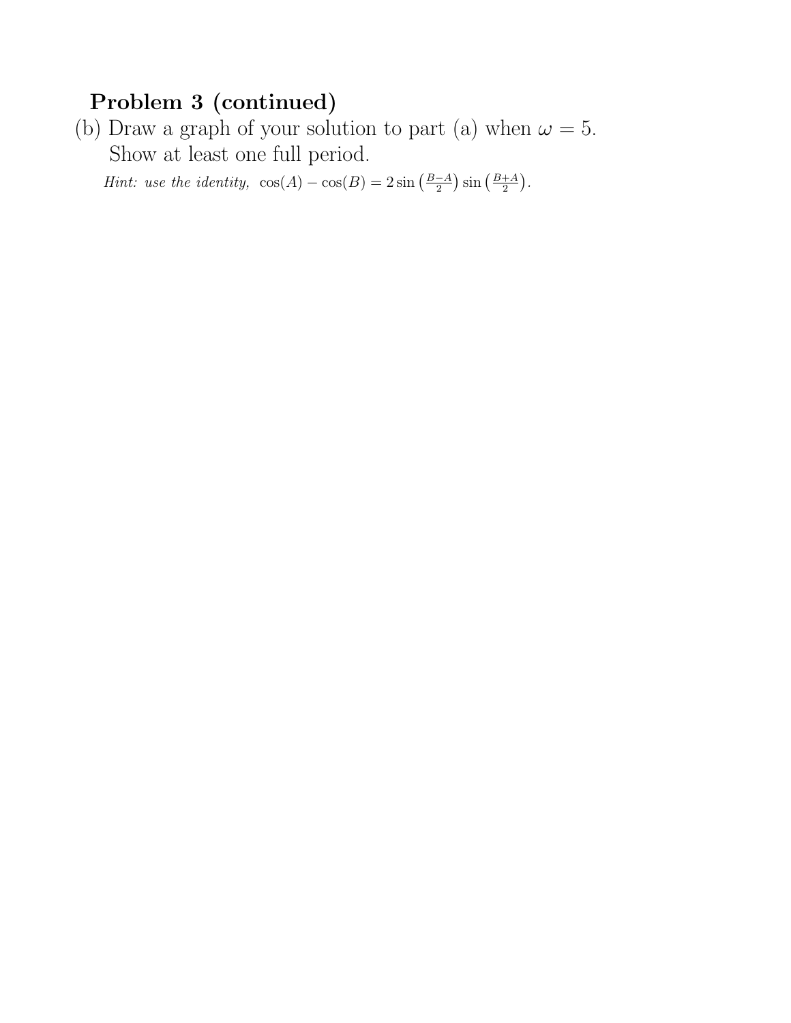### Problem 3 (continued)

(b) Draw a graph of your solution to part (a) when  $\omega = 5$ . Show at least one full period.

*Hint:* use the identity,  $\cos(A) - \cos(B) = 2 \sin \left( \frac{B-A}{2} \right)$  $\frac{-A}{2}$ )  $\sin\left(\frac{B+A}{2}\right)$  $\frac{+A}{2}$ .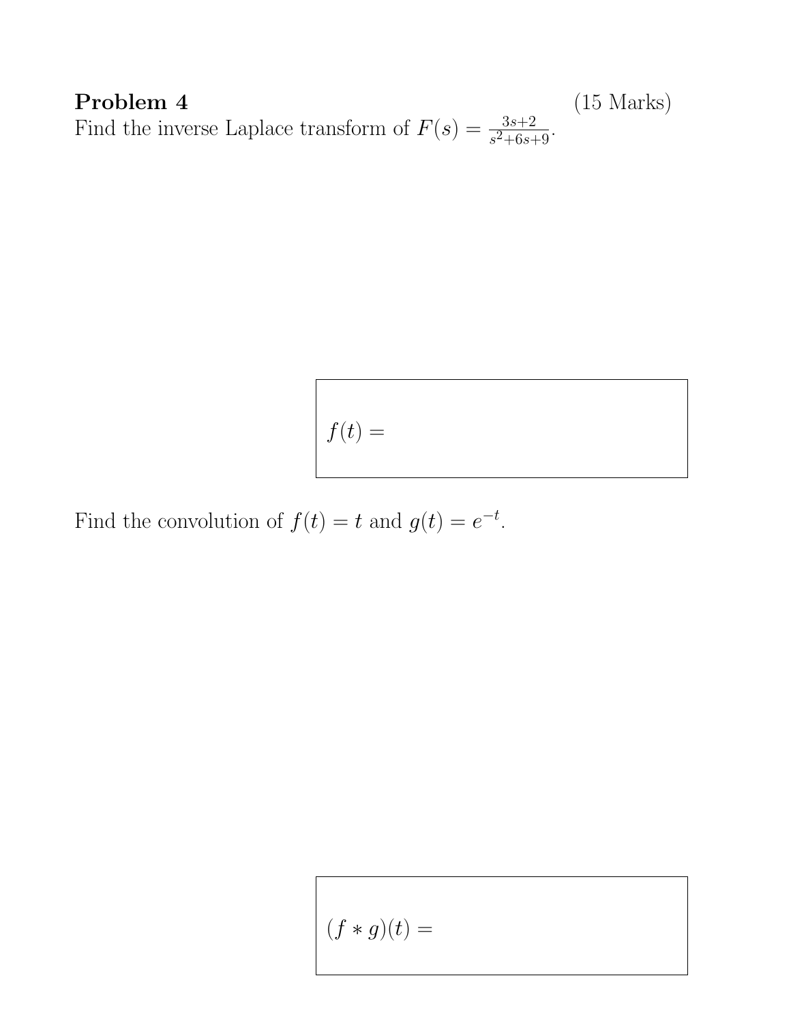**Problem 4** (15 Marks) Find the inverse Laplace transform of  $F(s) = \frac{3s+2}{s^2+6s+9}$ .

$$
f(t) =
$$

Find the convolution of  $f(t) = t$  and  $g(t) = e^{-t}$ .

$$
(f\ast g)(t)=
$$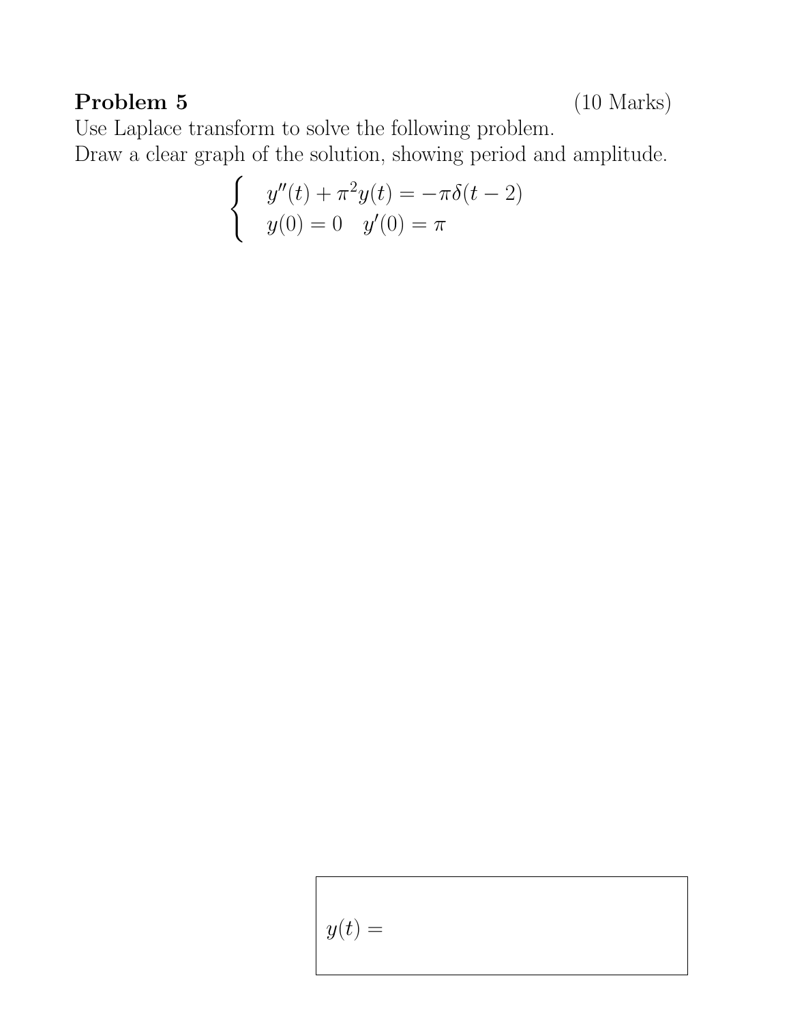## Problem 5 (10 Marks)

Use Laplace transform to solve the following problem.

Draw a clear graph of the solution, showing period and amplitude.

$$
\begin{cases} y''(t) + \pi^2 y(t) = -\pi \delta(t - 2) \\ y(0) = 0 \quad y'(0) = \pi \end{cases}
$$

$$
y(t) =
$$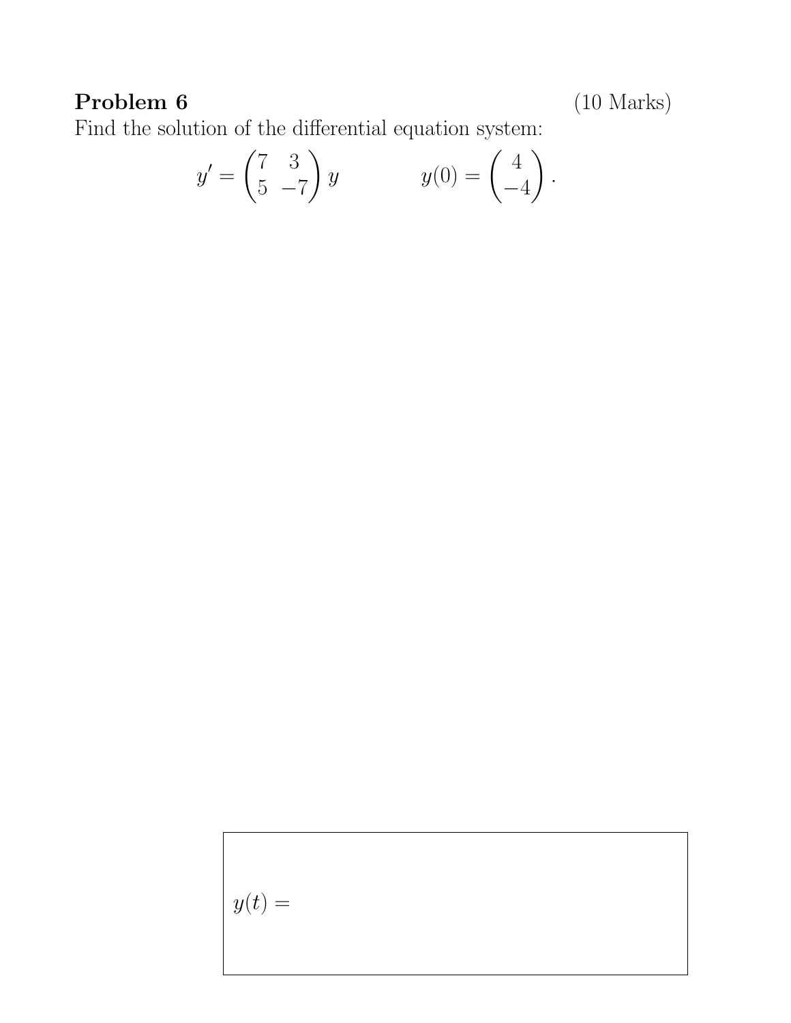# Problem 6 (10 Marks)

Find the solution of the differential equation system:

$$
y' = \begin{pmatrix} 7 & 3 \\ 5 & -7 \end{pmatrix} y \qquad \qquad y(0) = \begin{pmatrix} 4 \\ -4 \end{pmatrix}.
$$

$$
y(t) =
$$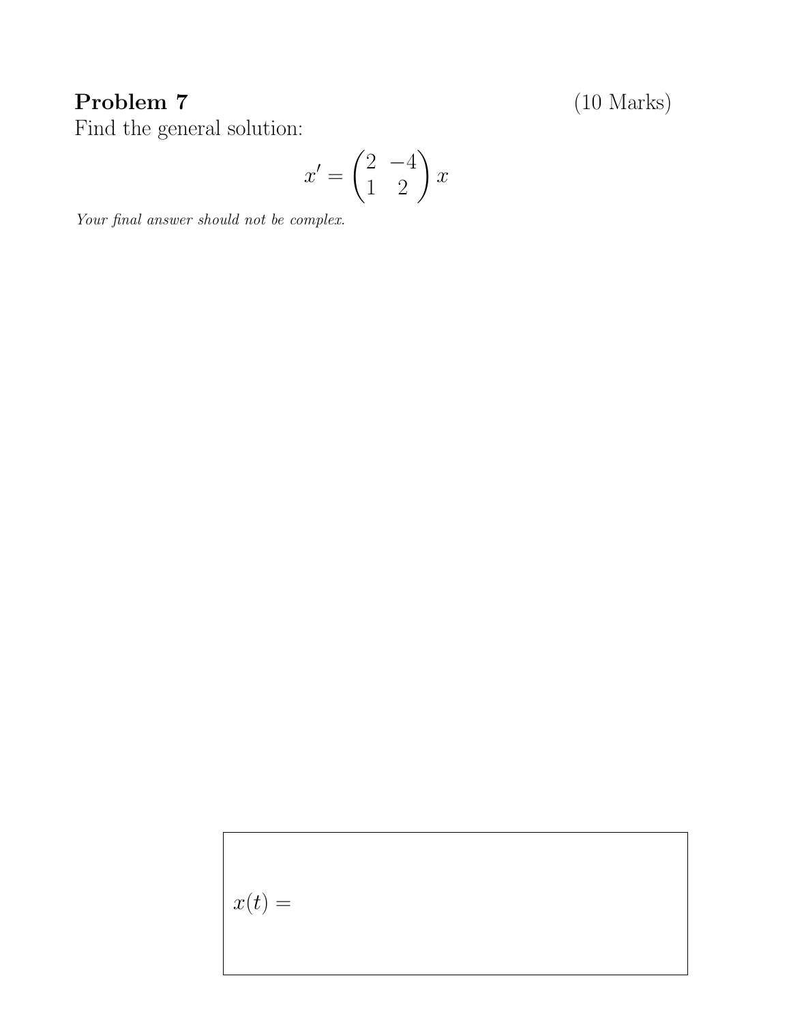## Problem 7 (10 Marks)

Find the general solution:

$$
x' = \begin{pmatrix} 2 & -4 \\ 1 & 2 \end{pmatrix} x
$$

Your final answer should not be complex.

 $x(t) =$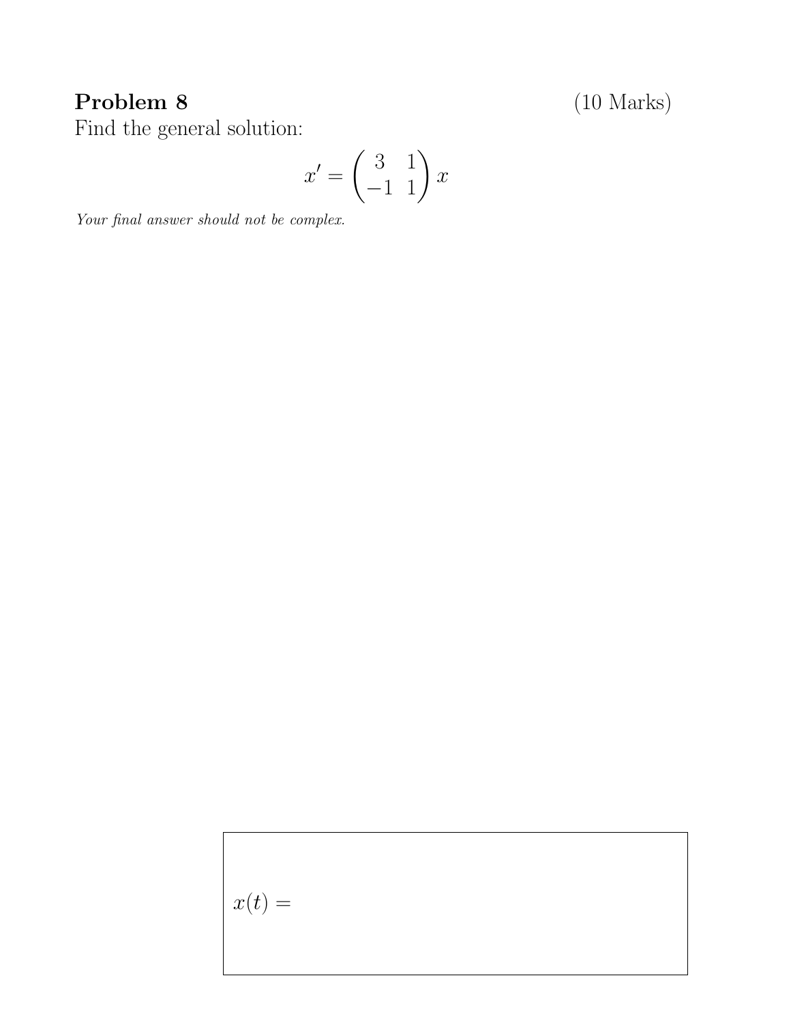## Problem 8 (10 Marks)

Find the general solution:

$$
x' = \begin{pmatrix} 3 & 1 \\ -1 & 1 \end{pmatrix} x
$$

Your final answer should not be complex.

 $x(t) =$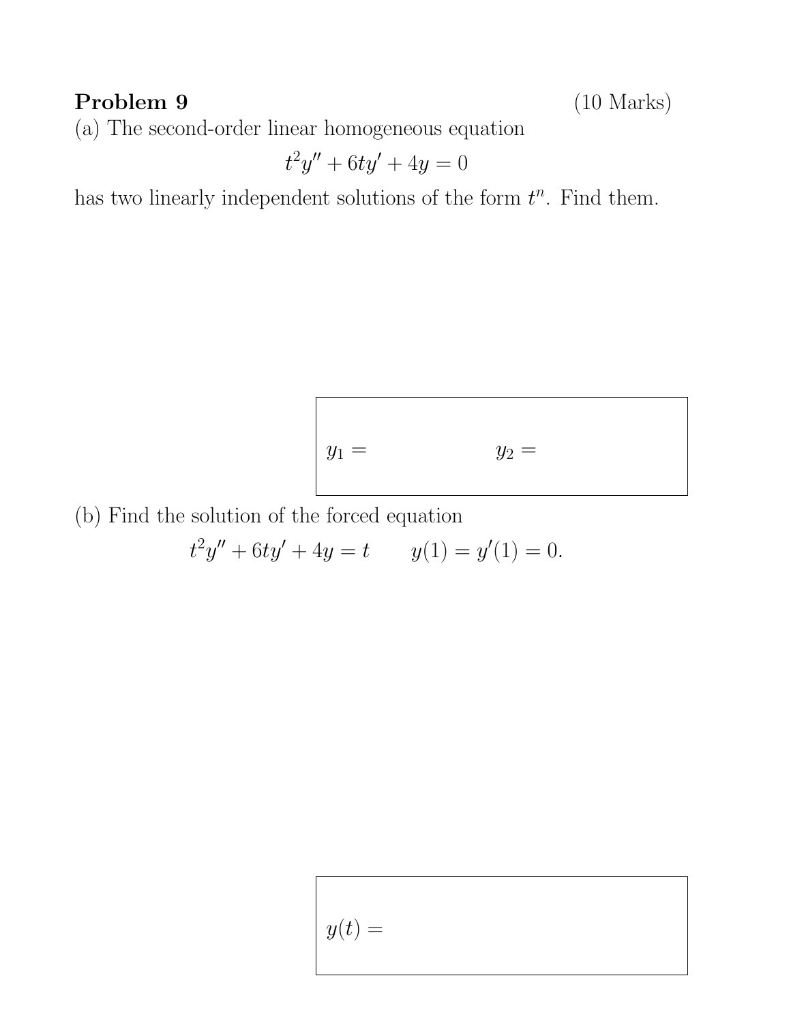### Problem 9 (10 Marks)

(a) The second-order linear homogeneous equation

$$
t^2y'' + 6ty' + 4y = 0
$$

has two linearly independent solutions of the form  $t^n$ . Find them.

$$
y_1 = y_2 =
$$

(b) Find the solution of the forced equation

 $t^2y'' + 6ty' + 4y = t$   $y(1) = y'(1) = 0.$ 

$$
y(t) =
$$